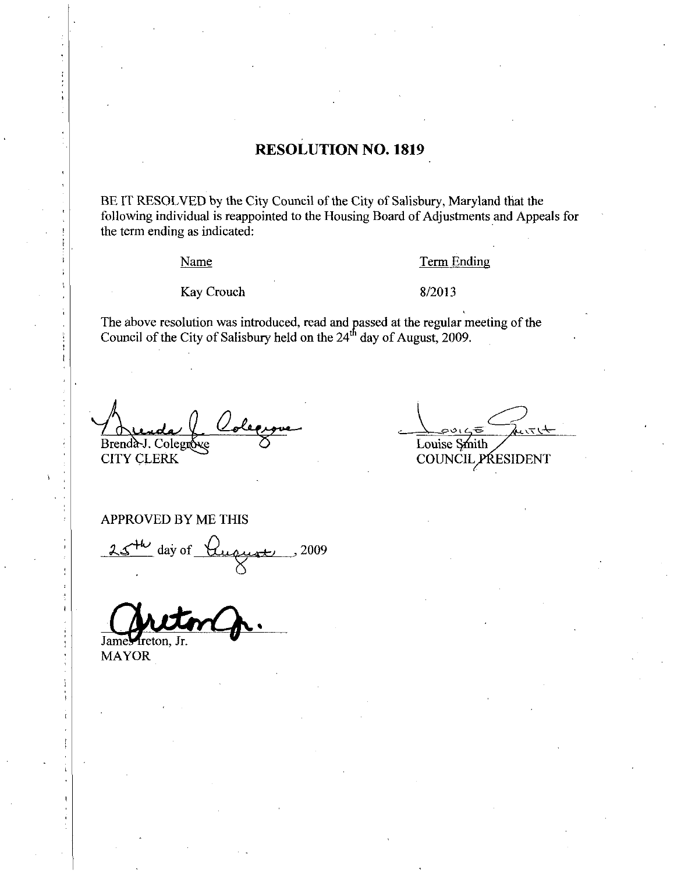## **RESOLUTION NO. 1819**

BE IT RESOLVED by the City Council of the City of Salisbury, Maryland that the following individual is reappointed to the Housing Board of Adjustments and Appeals for the term ending as indicated:

Name

**Term Ending** 

Kay Crouch

## 8/2013

The above resolution was introduced, read and passed at the regular meeting of the Council of the City of Salisbury held on the  $24<sup>th</sup>$  day of August, 2009.

Brenda J. Colegrove **CITY CLERK** 

Louise Smith

COUNCIL PRESIDENT

APPROVED BY ME THIS

day of <u>Hugust</u> 2009

James Ireton, Jr.

**MAYOR**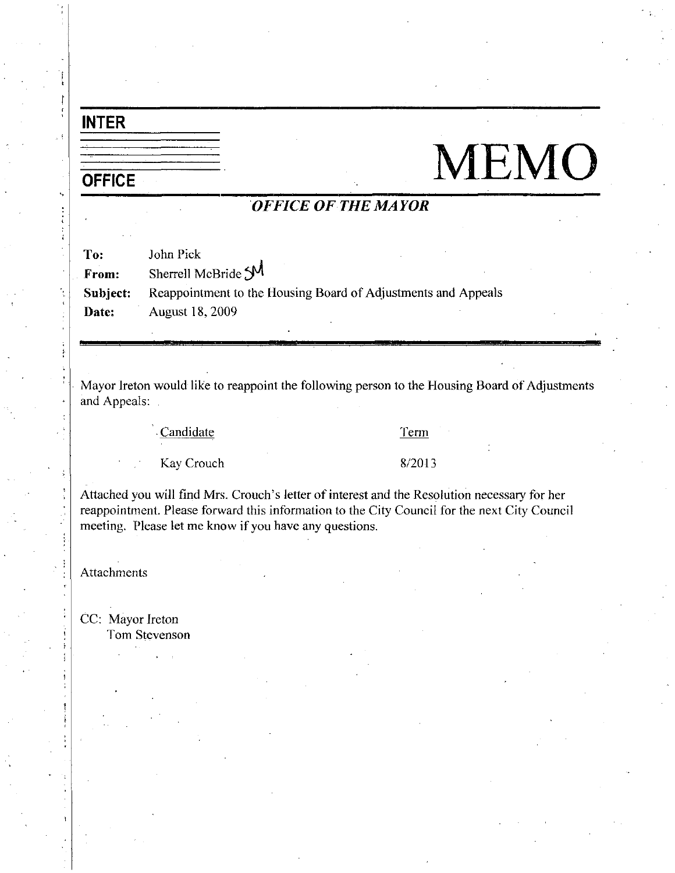# INTER

j P

i

# $\begin{picture}(120,140)(-10,0) \put(0,0){\line(1,0){100}} \put(10,0){\line(1,0){100}} \put(10,0){\line(1,0){100}} \put(10,0){\line(1,0){100}} \put(10,0){\line(1,0){100}} \put(10,0){\line(1,0){100}} \put(10,0){\line(1,0){100}} \put(10,0){\line(1,0){100}} \put(10,0){\line(1,0){100}} \put(10,0){\line(1,0){100}} \put(10,0){\line(1$

# OFFICE OF THE MAYOR

| To:      | John Pick                                                     |
|----------|---------------------------------------------------------------|
| From:    | Sherrell McBride SM                                           |
| Subject: | Reappointment to the Housing Board of Adjustments and Appeals |
| Date:    | <b>August 18, 2009</b>                                        |

Mayor Ireton would like to reappoint the following person to the Housing Board of Adjustments and Appeals

Candidate Term

Example 12 Candidate<br>
Kay Crouch 8/2013

Kay Crouch<br>Attached you will find Mrs. Crouch's letter of interest and the Resolution necessary for her reappointment. Please forward this information to the City Council for the next City Council meeting. Please let me know if you have any questions.

Attachments

CC: Mayor Ireton **Tom Stevenson**